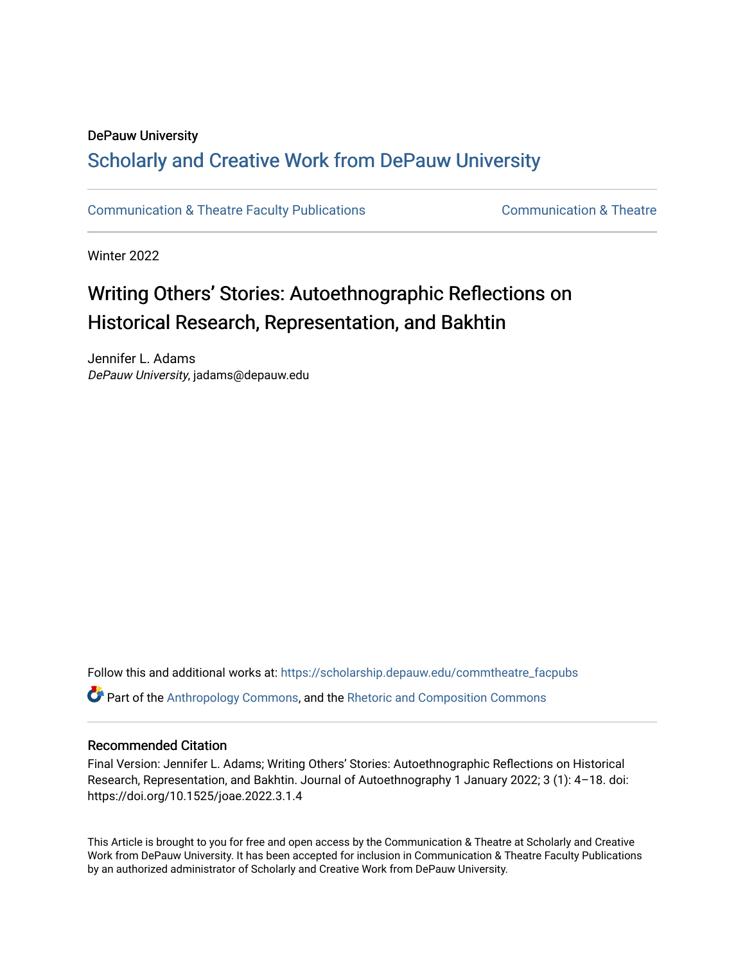## DePauw University

# Scholarly and [Creative Work from DePauw Univ](https://scholarship.depauw.edu/)ersity

[Communication & Theatre Faculty Publications](https://scholarship.depauw.edu/commtheatre_facpubs) **Communication & Theatre** 

Winter 2022

# Writing Others' Stories: Autoethnographic Reflections on Historical Research, Representation, and Bakhtin

Jennifer L. Adams DePauw University, jadams@depauw.edu

Follow this and additional works at: [https://scholarship.depauw.edu/commtheatre\\_facpubs](https://scholarship.depauw.edu/commtheatre_facpubs?utm_source=scholarship.depauw.edu%2Fcommtheatre_facpubs%2F8&utm_medium=PDF&utm_campaign=PDFCoverPages) Part of the [Anthropology Commons](https://network.bepress.com/hgg/discipline/318?utm_source=scholarship.depauw.edu%2Fcommtheatre_facpubs%2F8&utm_medium=PDF&utm_campaign=PDFCoverPages), and the [Rhetoric and Composition Commons](https://network.bepress.com/hgg/discipline/573?utm_source=scholarship.depauw.edu%2Fcommtheatre_facpubs%2F8&utm_medium=PDF&utm_campaign=PDFCoverPages)

## Recommended Citation

Final Version: Jennifer L. Adams; Writing Others' Stories: Autoethnographic Reflections on Historical Research, Representation, and Bakhtin. Journal of Autoethnography 1 January 2022; 3 (1): 4–18. doi: https://doi.org/10.1525/joae.2022.3.1.4

This Article is brought to you for free and open access by the Communication & Theatre at Scholarly and Creative Work from DePauw University. It has been accepted for inclusion in Communication & Theatre Faculty Publications by an authorized administrator of Scholarly and Creative Work from DePauw University.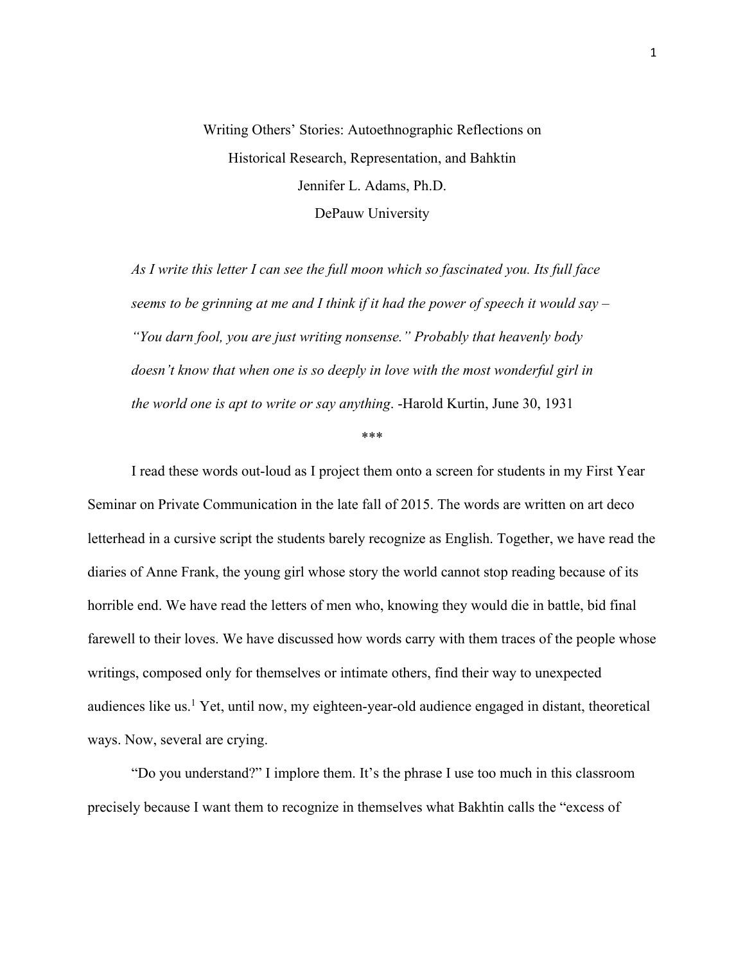# Writing Others' Stories: Autoethnographic Reflections on Historical Research, Representation, and Bahktin Jennifer L. Adams, Ph.D. DePauw University

*As I write this letter I can see the full moon which so fascinated you. Its full face seems to be grinning at me and I think if it had the power of speech it would say – "You darn fool, you are just writing nonsense." Probably that heavenly body doesn't know that when one is so deeply in love with the most wonderful girl in the world one is apt to write or say anything*. -Harold Kurtin, June 30, 1931

\*\*\*

I read these words out-loud as I project them onto a screen for students in my First Year Seminar on Private Communication in the late fall of 2015. The words are written on art deco letterhead in a cursive script the students barely recognize as English. Together, we have read the diaries of Anne Frank, the young girl whose story the world cannot stop reading because of its horrible end. We have read the letters of men who, knowing they would die in battle, bid final farewell to their loves. We have discussed how words carry with them traces of the people whose writings, composed only for themselves or intimate others, find their way to unexpected audiences like us.<sup>1</sup> Yet, until now, my eighteen-year-old audience engaged in distant, theoretical ways. Now, several are crying.

"Do you understand?" I implore them. It's the phrase I use too much in this classroom precisely because I want them to recognize in themselves what Bakhtin calls the "excess of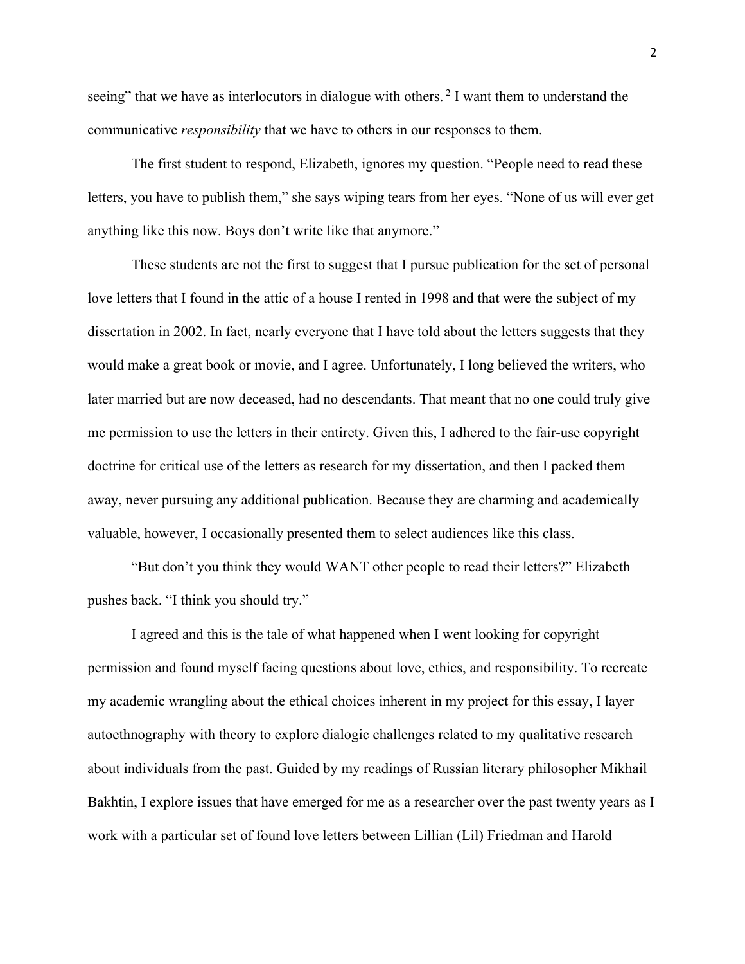seeing" that we have as interlocutors in dialogue with others.<sup>2</sup> I want them to understand the communicative *responsibility* that we have to others in our responses to them.

The first student to respond, Elizabeth, ignores my question. "People need to read these letters, you have to publish them," she says wiping tears from her eyes. "None of us will ever get anything like this now. Boys don't write like that anymore."

These students are not the first to suggest that I pursue publication for the set of personal love letters that I found in the attic of a house I rented in 1998 and that were the subject of my dissertation in 2002. In fact, nearly everyone that I have told about the letters suggests that they would make a great book or movie, and I agree. Unfortunately, I long believed the writers, who later married but are now deceased, had no descendants. That meant that no one could truly give me permission to use the letters in their entirety. Given this, I adhered to the fair-use copyright doctrine for critical use of the letters as research for my dissertation, and then I packed them away, never pursuing any additional publication. Because they are charming and academically valuable, however, I occasionally presented them to select audiences like this class.

"But don't you think they would WANT other people to read their letters?" Elizabeth pushes back. "I think you should try."

I agreed and this is the tale of what happened when I went looking for copyright permission and found myself facing questions about love, ethics, and responsibility. To recreate my academic wrangling about the ethical choices inherent in my project for this essay, I layer autoethnography with theory to explore dialogic challenges related to my qualitative research about individuals from the past. Guided by my readings of Russian literary philosopher Mikhail Bakhtin, I explore issues that have emerged for me as a researcher over the past twenty years as I work with a particular set of found love letters between Lillian (Lil) Friedman and Harold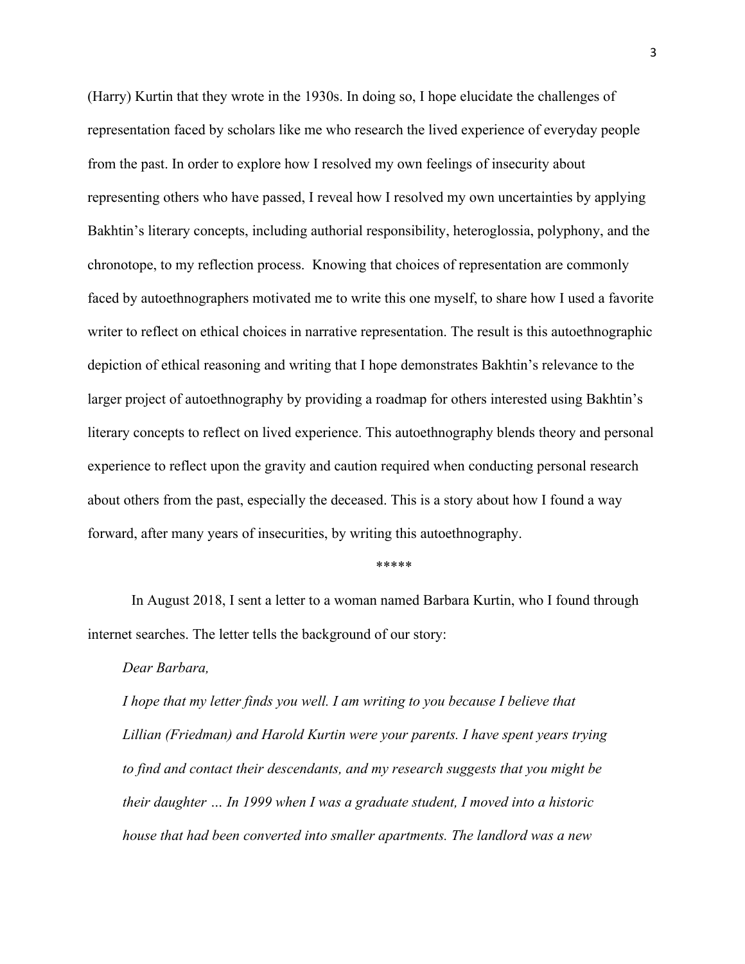(Harry) Kurtin that they wrote in the 1930s. In doing so, I hope elucidate the challenges of representation faced by scholars like me who research the lived experience of everyday people from the past. In order to explore how I resolved my own feelings of insecurity about representing others who have passed, I reveal how I resolved my own uncertainties by applying Bakhtin's literary concepts, including authorial responsibility, heteroglossia, polyphony, and the chronotope, to my reflection process. Knowing that choices of representation are commonly faced by autoethnographers motivated me to write this one myself, to share how I used a favorite writer to reflect on ethical choices in narrative representation. The result is this autoethnographic depiction of ethical reasoning and writing that I hope demonstrates Bakhtin's relevance to the larger project of autoethnography by providing a roadmap for others interested using Bakhtin's literary concepts to reflect on lived experience. This autoethnography blends theory and personal experience to reflect upon the gravity and caution required when conducting personal research about others from the past, especially the deceased. This is a story about how I found a way forward, after many years of insecurities, by writing this autoethnography.

#### \*\*\*\*\*

In August 2018, I sent a letter to a woman named Barbara Kurtin, who I found through internet searches. The letter tells the background of our story:

### *Dear Barbara,*

*I hope that my letter finds you well. I am writing to you because I believe that Lillian (Friedman) and Harold Kurtin were your parents. I have spent years trying to find and contact their descendants, and my research suggests that you might be their daughter … In 1999 when I was a graduate student, I moved into a historic house that had been converted into smaller apartments. The landlord was a new*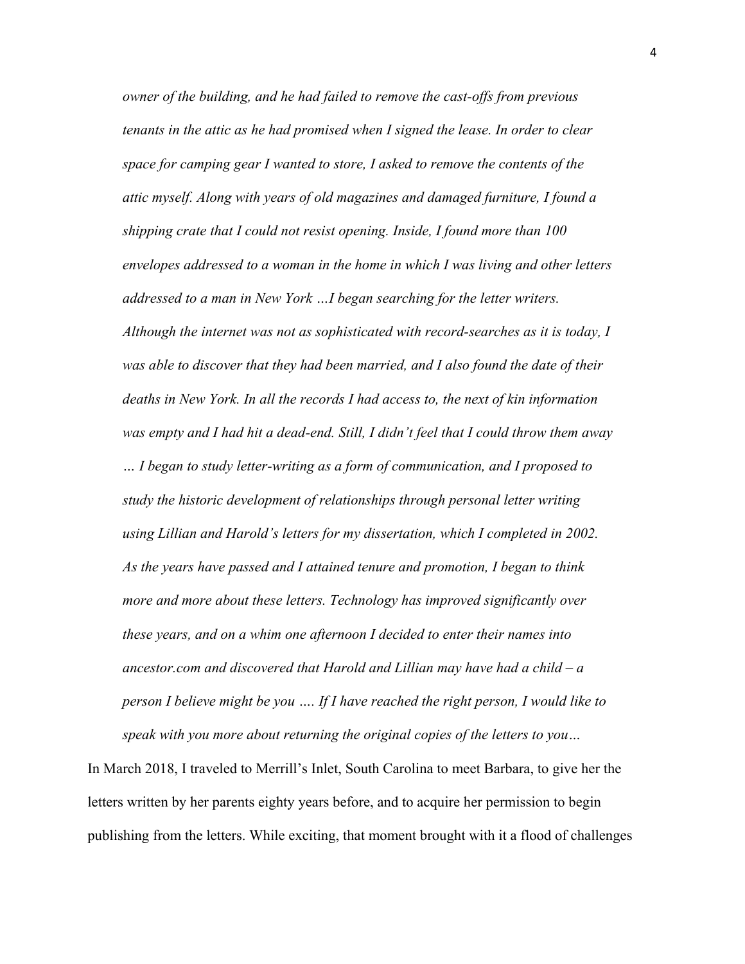*owner of the building, and he had failed to remove the cast-offs from previous tenants in the attic as he had promised when I signed the lease. In order to clear space for camping gear I wanted to store, I asked to remove the contents of the attic myself. Along with years of old magazines and damaged furniture, I found a shipping crate that I could not resist opening. Inside, I found more than 100 envelopes addressed to a woman in the home in which I was living and other letters addressed to a man in New York …I began searching for the letter writers. Although the internet was not as sophisticated with record-searches as it is today, I was able to discover that they had been married, and I also found the date of their deaths in New York. In all the records I had access to, the next of kin information was empty and I had hit a dead-end. Still, I didn't feel that I could throw them away … I began to study letter-writing as a form of communication, and I proposed to study the historic development of relationships through personal letter writing using Lillian and Harold's letters for my dissertation, which I completed in 2002. As the years have passed and I attained tenure and promotion, I began to think more and more about these letters. Technology has improved significantly over these years, and on a whim one afternoon I decided to enter their names into ancestor.com and discovered that Harold and Lillian may have had a child – a person I believe might be you …. If I have reached the right person, I would like to speak with you more about returning the original copies of the letters to you…*

In March 2018, I traveled to Merrill's Inlet, South Carolina to meet Barbara, to give her the letters written by her parents eighty years before, and to acquire her permission to begin publishing from the letters. While exciting, that moment brought with it a flood of challenges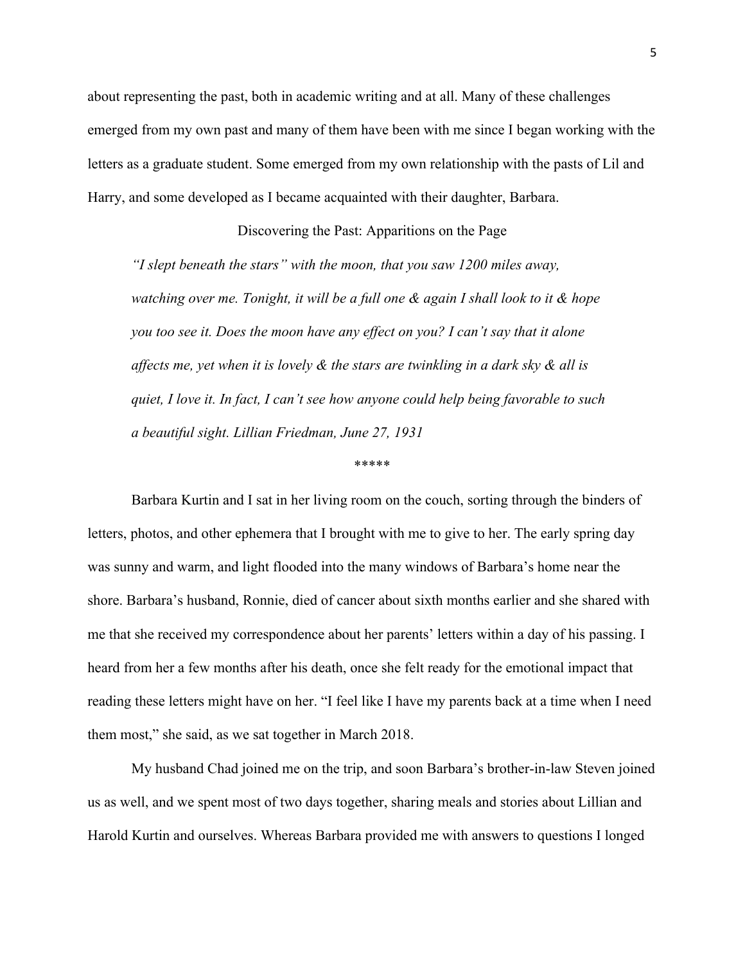about representing the past, both in academic writing and at all. Many of these challenges emerged from my own past and many of them have been with me since I began working with the letters as a graduate student. Some emerged from my own relationship with the pasts of Lil and Harry, and some developed as I became acquainted with their daughter, Barbara.

# Discovering the Past: Apparitions on the Page *"I slept beneath the stars" with the moon, that you saw 1200 miles away, watching over me. Tonight, it will be a full one & again I shall look to it & hope you too see it. Does the moon have any effect on you? I can't say that it alone affects me, yet when it is lovely & the stars are twinkling in a dark sky & all is quiet, I love it. In fact, I can't see how anyone could help being favorable to such a beautiful sight. Lillian Friedman, June 27, 1931*

\*\*\*\*\*

Barbara Kurtin and I sat in her living room on the couch, sorting through the binders of letters, photos, and other ephemera that I brought with me to give to her. The early spring day was sunny and warm, and light flooded into the many windows of Barbara's home near the shore. Barbara's husband, Ronnie, died of cancer about sixth months earlier and she shared with me that she received my correspondence about her parents' letters within a day of his passing. I heard from her a few months after his death, once she felt ready for the emotional impact that reading these letters might have on her. "I feel like I have my parents back at a time when I need them most," she said, as we sat together in March 2018.

My husband Chad joined me on the trip, and soon Barbara's brother-in-law Steven joined us as well, and we spent most of two days together, sharing meals and stories about Lillian and Harold Kurtin and ourselves. Whereas Barbara provided me with answers to questions I longed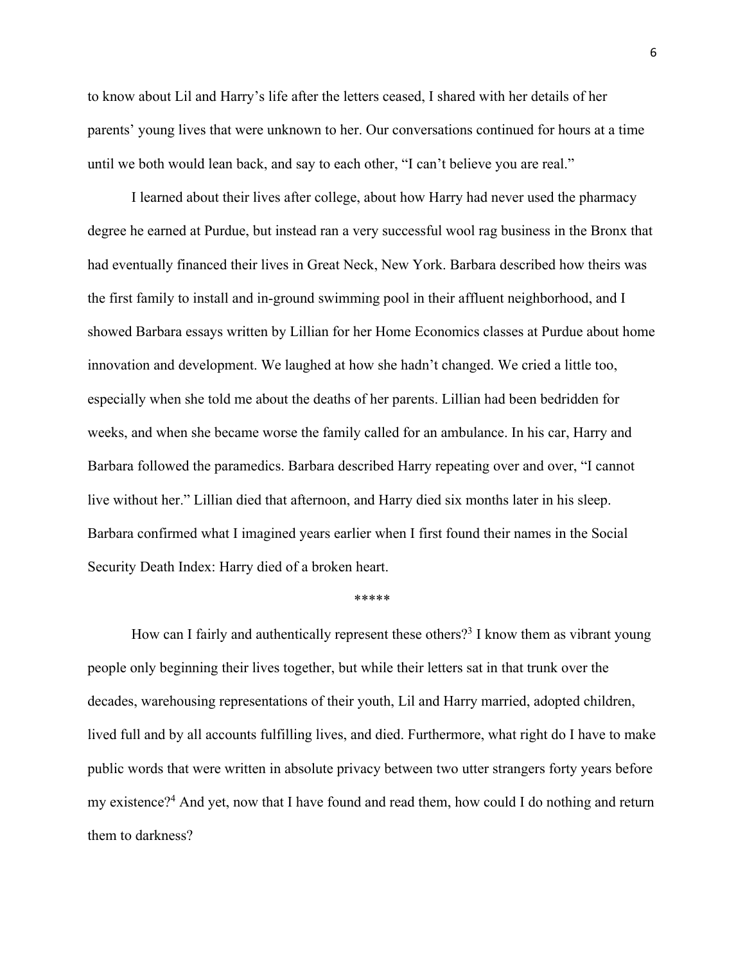to know about Lil and Harry's life after the letters ceased, I shared with her details of her parents' young lives that were unknown to her. Our conversations continued for hours at a time until we both would lean back, and say to each other, "I can't believe you are real."

I learned about their lives after college, about how Harry had never used the pharmacy degree he earned at Purdue, but instead ran a very successful wool rag business in the Bronx that had eventually financed their lives in Great Neck, New York. Barbara described how theirs was the first family to install and in-ground swimming pool in their affluent neighborhood, and I showed Barbara essays written by Lillian for her Home Economics classes at Purdue about home innovation and development. We laughed at how she hadn't changed. We cried a little too, especially when she told me about the deaths of her parents. Lillian had been bedridden for weeks, and when she became worse the family called for an ambulance. In his car, Harry and Barbara followed the paramedics. Barbara described Harry repeating over and over, "I cannot live without her." Lillian died that afternoon, and Harry died six months later in his sleep. Barbara confirmed what I imagined years earlier when I first found their names in the Social Security Death Index: Harry died of a broken heart.

### \*\*\*\*\*

How can I fairly and authentically represent these others?<sup>3</sup> I know them as vibrant young people only beginning their lives together, but while their letters sat in that trunk over the decades, warehousing representations of their youth, Lil and Harry married, adopted children, lived full and by all accounts fulfilling lives, and died. Furthermore, what right do I have to make public words that were written in absolute privacy between two utter strangers forty years before my existence?4 And yet, now that I have found and read them, how could I do nothing and return them to darkness?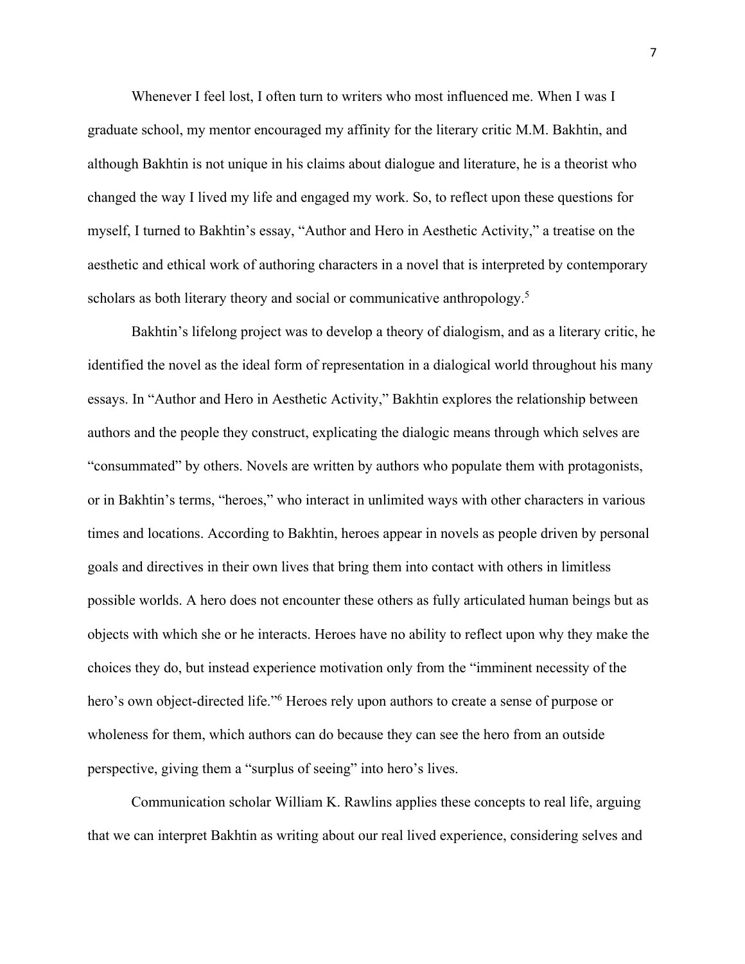Whenever I feel lost, I often turn to writers who most influenced me. When I was I graduate school, my mentor encouraged my affinity for the literary critic M.M. Bakhtin, and although Bakhtin is not unique in his claims about dialogue and literature, he is a theorist who changed the way I lived my life and engaged my work. So, to reflect upon these questions for myself, I turned to Bakhtin's essay, "Author and Hero in Aesthetic Activity," a treatise on the aesthetic and ethical work of authoring characters in a novel that is interpreted by contemporary scholars as both literary theory and social or communicative anthropology.<sup>5</sup>

Bakhtin's lifelong project was to develop a theory of dialogism, and as a literary critic, he identified the novel as the ideal form of representation in a dialogical world throughout his many essays. In "Author and Hero in Aesthetic Activity," Bakhtin explores the relationship between authors and the people they construct, explicating the dialogic means through which selves are "consummated" by others. Novels are written by authors who populate them with protagonists, or in Bakhtin's terms, "heroes," who interact in unlimited ways with other characters in various times and locations. According to Bakhtin, heroes appear in novels as people driven by personal goals and directives in their own lives that bring them into contact with others in limitless possible worlds. A hero does not encounter these others as fully articulated human beings but as objects with which she or he interacts. Heroes have no ability to reflect upon why they make the choices they do, but instead experience motivation only from the "imminent necessity of the hero's own object-directed life."<sup>6</sup> Heroes rely upon authors to create a sense of purpose or wholeness for them, which authors can do because they can see the hero from an outside perspective, giving them a "surplus of seeing" into hero's lives.

Communication scholar William K. Rawlins applies these concepts to real life, arguing that we can interpret Bakhtin as writing about our real lived experience, considering selves and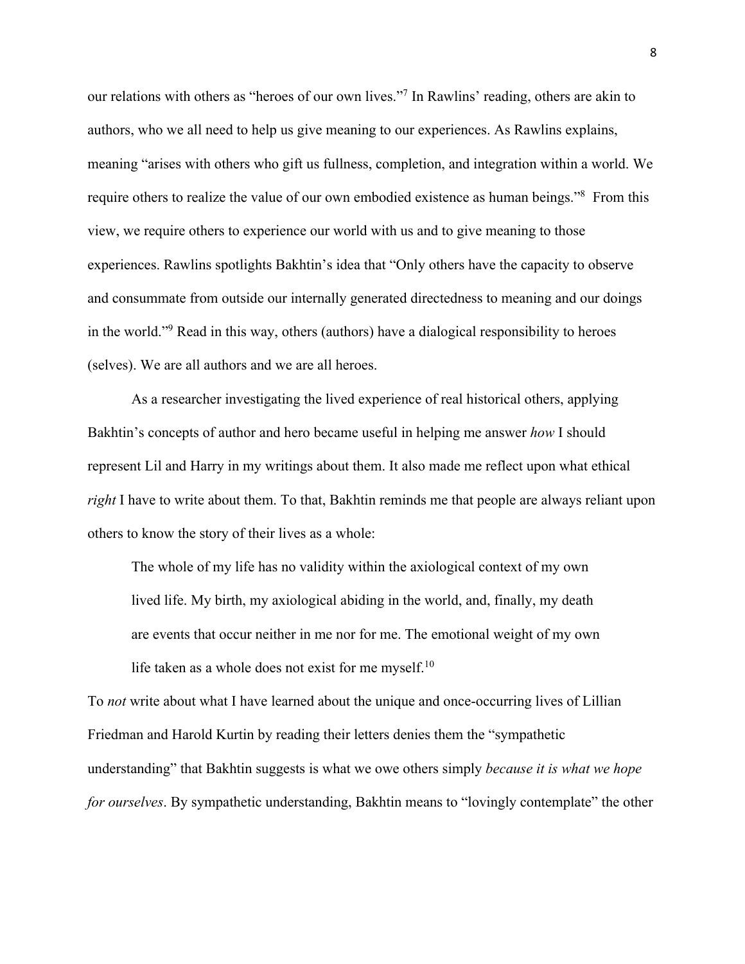our relations with others as "heroes of our own lives."7 In Rawlins' reading, others are akin to authors, who we all need to help us give meaning to our experiences. As Rawlins explains, meaning "arises with others who gift us fullness, completion, and integration within a world. We require others to realize the value of our own embodied existence as human beings."8 From this view, we require others to experience our world with us and to give meaning to those experiences. Rawlins spotlights Bakhtin's idea that "Only others have the capacity to observe and consummate from outside our internally generated directedness to meaning and our doings in the world."9 Read in this way, others (authors) have a dialogical responsibility to heroes (selves). We are all authors and we are all heroes.

As a researcher investigating the lived experience of real historical others, applying Bakhtin's concepts of author and hero became useful in helping me answer *how* I should represent Lil and Harry in my writings about them. It also made me reflect upon what ethical *right* I have to write about them. To that, Bakhtin reminds me that people are always reliant upon others to know the story of their lives as a whole:

The whole of my life has no validity within the axiological context of my own lived life. My birth, my axiological abiding in the world, and, finally, my death are events that occur neither in me nor for me. The emotional weight of my own life taken as a whole does not exist for me myself.<sup>10</sup>

To *not* write about what I have learned about the unique and once-occurring lives of Lillian Friedman and Harold Kurtin by reading their letters denies them the "sympathetic understanding" that Bakhtin suggests is what we owe others simply *because it is what we hope for ourselves*. By sympathetic understanding, Bakhtin means to "lovingly contemplate" the other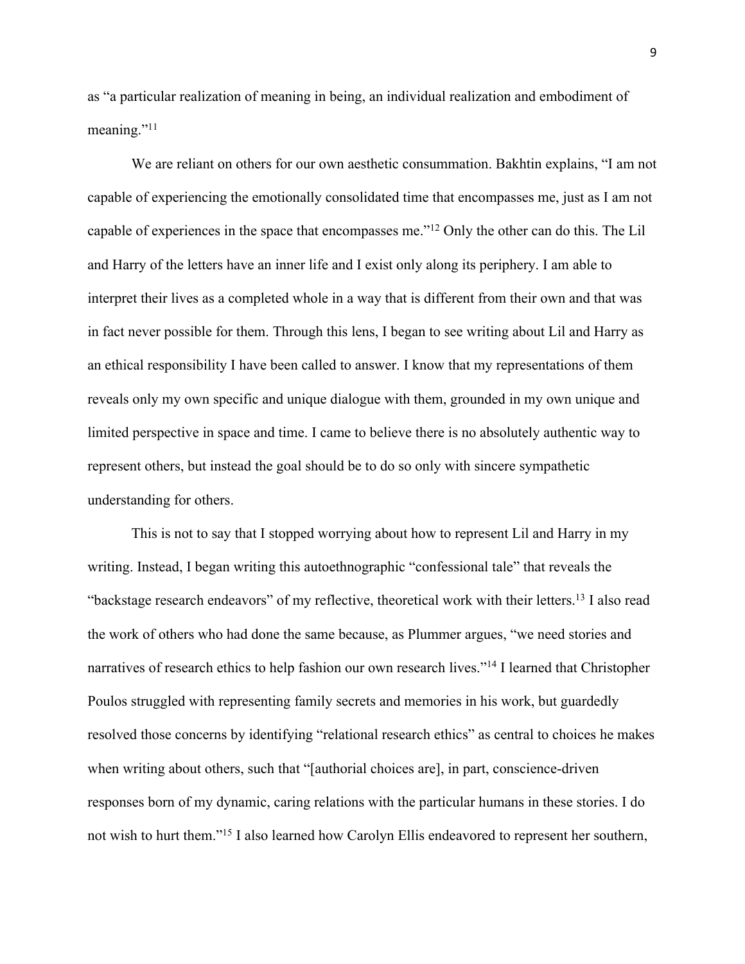as "a particular realization of meaning in being, an individual realization and embodiment of meaning."<sup>11</sup>

We are reliant on others for our own aesthetic consummation. Bakhtin explains, "I am not capable of experiencing the emotionally consolidated time that encompasses me, just as I am not capable of experiences in the space that encompasses me."12 Only the other can do this. The Lil and Harry of the letters have an inner life and I exist only along its periphery. I am able to interpret their lives as a completed whole in a way that is different from their own and that was in fact never possible for them. Through this lens, I began to see writing about Lil and Harry as an ethical responsibility I have been called to answer. I know that my representations of them reveals only my own specific and unique dialogue with them, grounded in my own unique and limited perspective in space and time. I came to believe there is no absolutely authentic way to represent others, but instead the goal should be to do so only with sincere sympathetic understanding for others.

This is not to say that I stopped worrying about how to represent Lil and Harry in my writing. Instead, I began writing this autoethnographic "confessional tale" that reveals the "backstage research endeavors" of my reflective, theoretical work with their letters.13 I also read the work of others who had done the same because, as Plummer argues, "we need stories and narratives of research ethics to help fashion our own research lives."<sup>14</sup> I learned that Christopher Poulos struggled with representing family secrets and memories in his work, but guardedly resolved those concerns by identifying "relational research ethics" as central to choices he makes when writing about others, such that "[authorial choices are], in part, conscience-driven responses born of my dynamic, caring relations with the particular humans in these stories. I do not wish to hurt them."15 I also learned how Carolyn Ellis endeavored to represent her southern,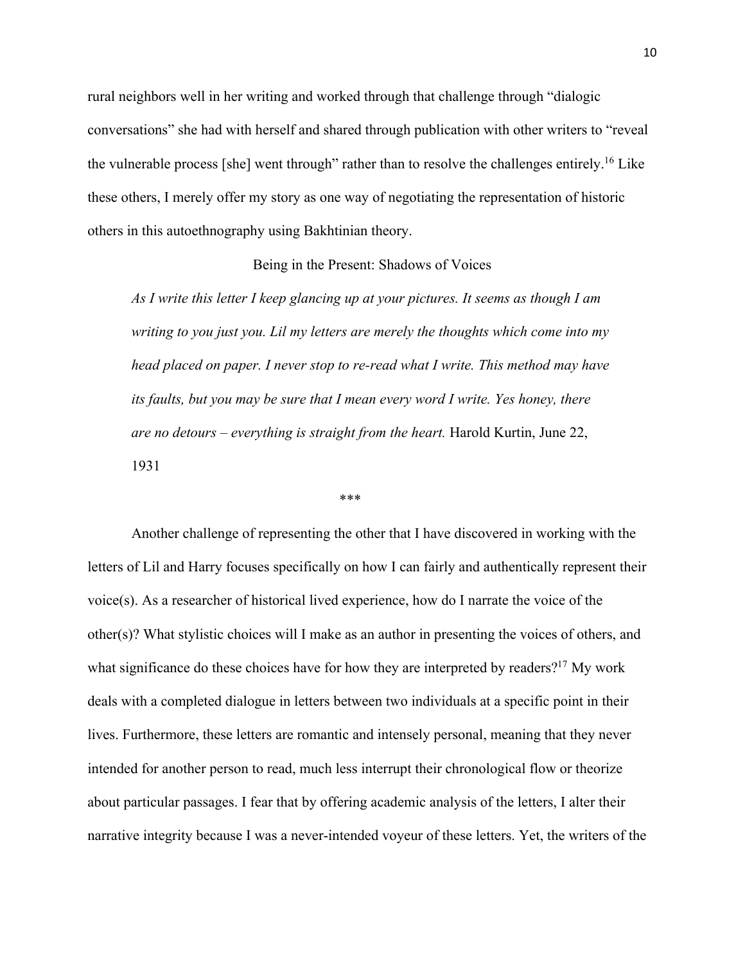rural neighbors well in her writing and worked through that challenge through "dialogic conversations" she had with herself and shared through publication with other writers to "reveal the vulnerable process [she] went through" rather than to resolve the challenges entirely.<sup>16</sup> Like these others, I merely offer my story as one way of negotiating the representation of historic others in this autoethnography using Bakhtinian theory.

## Being in the Present: Shadows of Voices

*As I write this letter I keep glancing up at your pictures. It seems as though I am writing to you just you. Lil my letters are merely the thoughts which come into my head placed on paper. I never stop to re-read what I write. This method may have its faults, but you may be sure that I mean every word I write. Yes honey, there are no detours – everything is straight from the heart.* Harold Kurtin, June 22, 1931

### \*\*\*

Another challenge of representing the other that I have discovered in working with the letters of Lil and Harry focuses specifically on how I can fairly and authentically represent their voice(s). As a researcher of historical lived experience, how do I narrate the voice of the other(s)? What stylistic choices will I make as an author in presenting the voices of others, and what significance do these choices have for how they are interpreted by readers?<sup>17</sup> My work deals with a completed dialogue in letters between two individuals at a specific point in their lives. Furthermore, these letters are romantic and intensely personal, meaning that they never intended for another person to read, much less interrupt their chronological flow or theorize about particular passages. I fear that by offering academic analysis of the letters, I alter their narrative integrity because I was a never-intended voyeur of these letters. Yet, the writers of the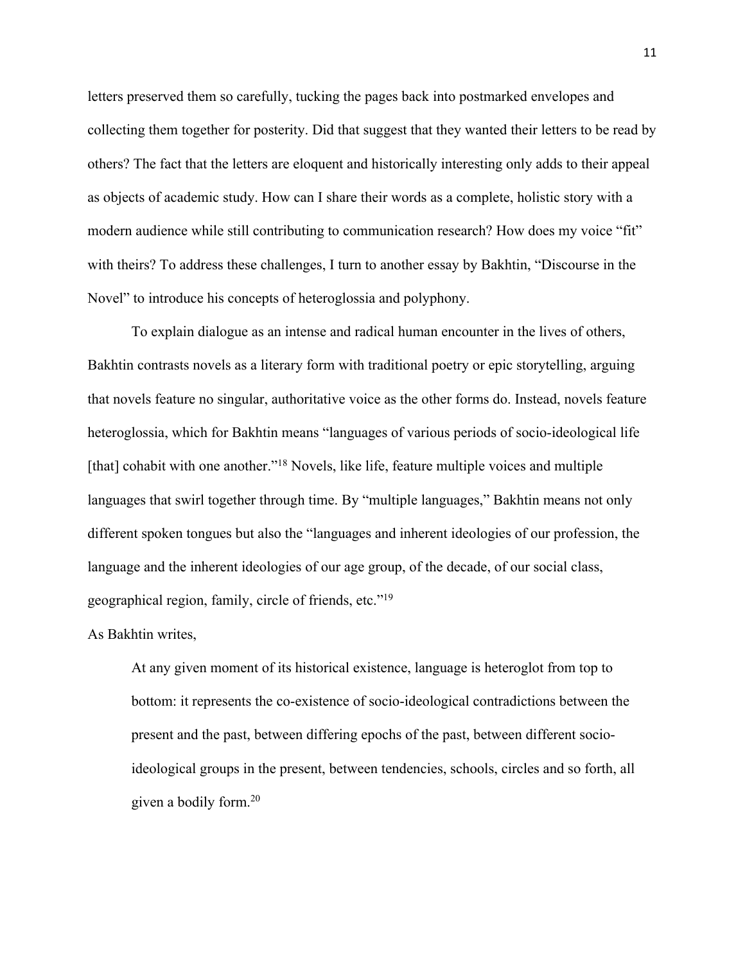letters preserved them so carefully, tucking the pages back into postmarked envelopes and collecting them together for posterity. Did that suggest that they wanted their letters to be read by others? The fact that the letters are eloquent and historically interesting only adds to their appeal as objects of academic study. How can I share their words as a complete, holistic story with a modern audience while still contributing to communication research? How does my voice "fit" with theirs? To address these challenges, I turn to another essay by Bakhtin, "Discourse in the Novel" to introduce his concepts of heteroglossia and polyphony.

To explain dialogue as an intense and radical human encounter in the lives of others, Bakhtin contrasts novels as a literary form with traditional poetry or epic storytelling, arguing that novels feature no singular, authoritative voice as the other forms do. Instead, novels feature heteroglossia, which for Bakhtin means "languages of various periods of socio-ideological life [that] cohabit with one another."<sup>18</sup> Novels, like life, feature multiple voices and multiple languages that swirl together through time. By "multiple languages," Bakhtin means not only different spoken tongues but also the "languages and inherent ideologies of our profession, the language and the inherent ideologies of our age group, of the decade, of our social class, geographical region, family, circle of friends, etc."19

As Bakhtin writes,

At any given moment of its historical existence, language is heteroglot from top to bottom: it represents the co-existence of socio-ideological contradictions between the present and the past, between differing epochs of the past, between different socioideological groups in the present, between tendencies, schools, circles and so forth, all given a bodily form.20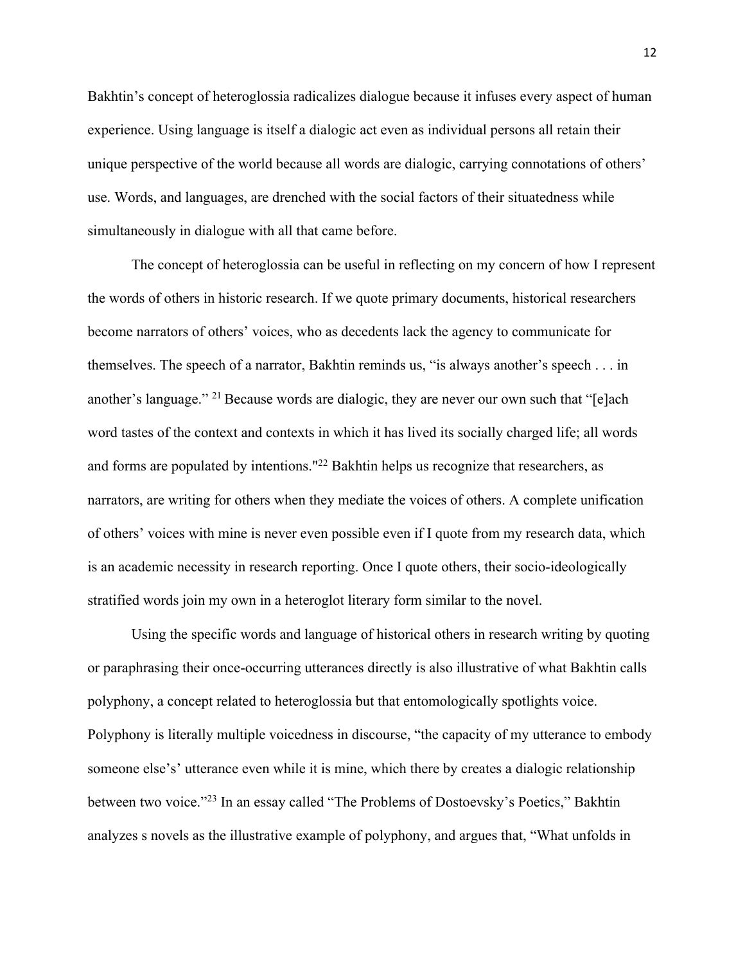Bakhtin's concept of heteroglossia radicalizes dialogue because it infuses every aspect of human experience. Using language is itself a dialogic act even as individual persons all retain their unique perspective of the world because all words are dialogic, carrying connotations of others' use. Words, and languages, are drenched with the social factors of their situatedness while simultaneously in dialogue with all that came before.

The concept of heteroglossia can be useful in reflecting on my concern of how I represent the words of others in historic research. If we quote primary documents, historical researchers become narrators of others' voices, who as decedents lack the agency to communicate for themselves. The speech of a narrator, Bakhtin reminds us, "is always another's speech . . . in another's language." 21 Because words are dialogic, they are never our own such that "[e]ach word tastes of the context and contexts in which it has lived its socially charged life; all words and forms are populated by intentions."22 Bakhtin helps us recognize that researchers, as narrators, are writing for others when they mediate the voices of others. A complete unification of others' voices with mine is never even possible even if I quote from my research data, which is an academic necessity in research reporting. Once I quote others, their socio-ideologically stratified words join my own in a heteroglot literary form similar to the novel.

Using the specific words and language of historical others in research writing by quoting or paraphrasing their once-occurring utterances directly is also illustrative of what Bakhtin calls polyphony, a concept related to heteroglossia but that entomologically spotlights voice. Polyphony is literally multiple voicedness in discourse, "the capacity of my utterance to embody someone else's' utterance even while it is mine, which there by creates a dialogic relationship between two voice."23 In an essay called "The Problems of Dostoevsky's Poetics," Bakhtin analyzes s novels as the illustrative example of polyphony, and argues that, "What unfolds in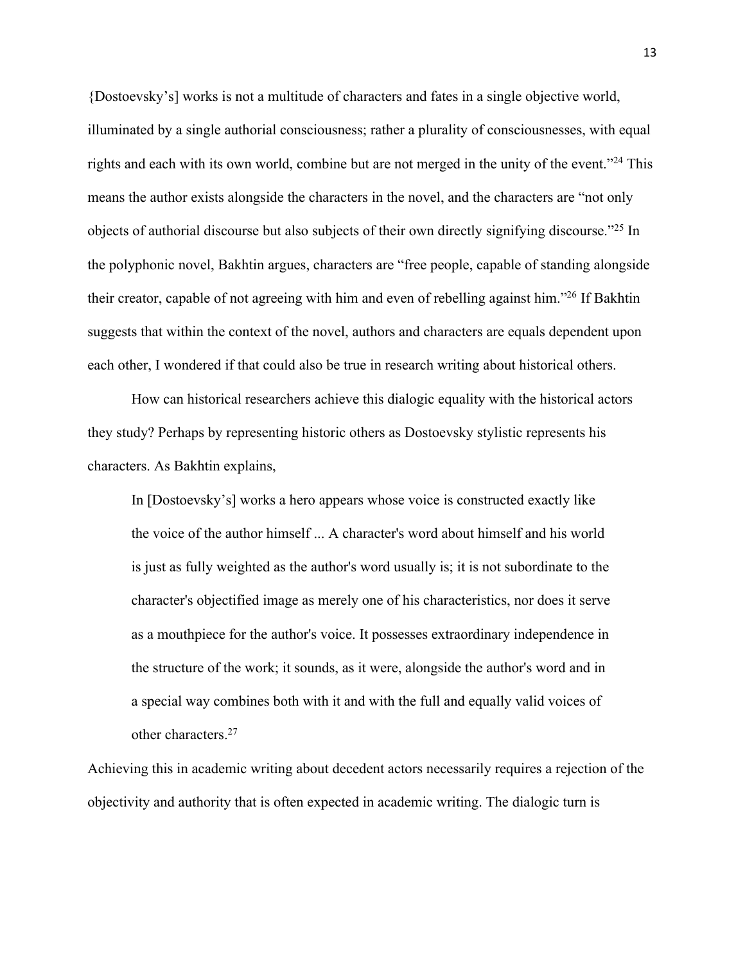{Dostoevsky's] works is not a multitude of characters and fates in a single objective world, illuminated by a single authorial consciousness; rather a plurality of consciousnesses, with equal rights and each with its own world, combine but are not merged in the unity of the event."<sup>24</sup> This means the author exists alongside the characters in the novel, and the characters are "not only objects of authorial discourse but also subjects of their own directly signifying discourse."25 In the polyphonic novel, Bakhtin argues, characters are "free people, capable of standing alongside their creator, capable of not agreeing with him and even of rebelling against him."26 If Bakhtin suggests that within the context of the novel, authors and characters are equals dependent upon each other, I wondered if that could also be true in research writing about historical others.

How can historical researchers achieve this dialogic equality with the historical actors they study? Perhaps by representing historic others as Dostoevsky stylistic represents his characters. As Bakhtin explains,

In [Dostoevsky's] works a hero appears whose voice is constructed exactly like the voice of the author himself ... A character's word about himself and his world is just as fully weighted as the author's word usually is; it is not subordinate to the character's objectified image as merely one of his characteristics, nor does it serve as a mouthpiece for the author's voice. It possesses extraordinary independence in the structure of the work; it sounds, as it were, alongside the author's word and in a special way combines both with it and with the full and equally valid voices of other characters.27

Achieving this in academic writing about decedent actors necessarily requires a rejection of the objectivity and authority that is often expected in academic writing. The dialogic turn is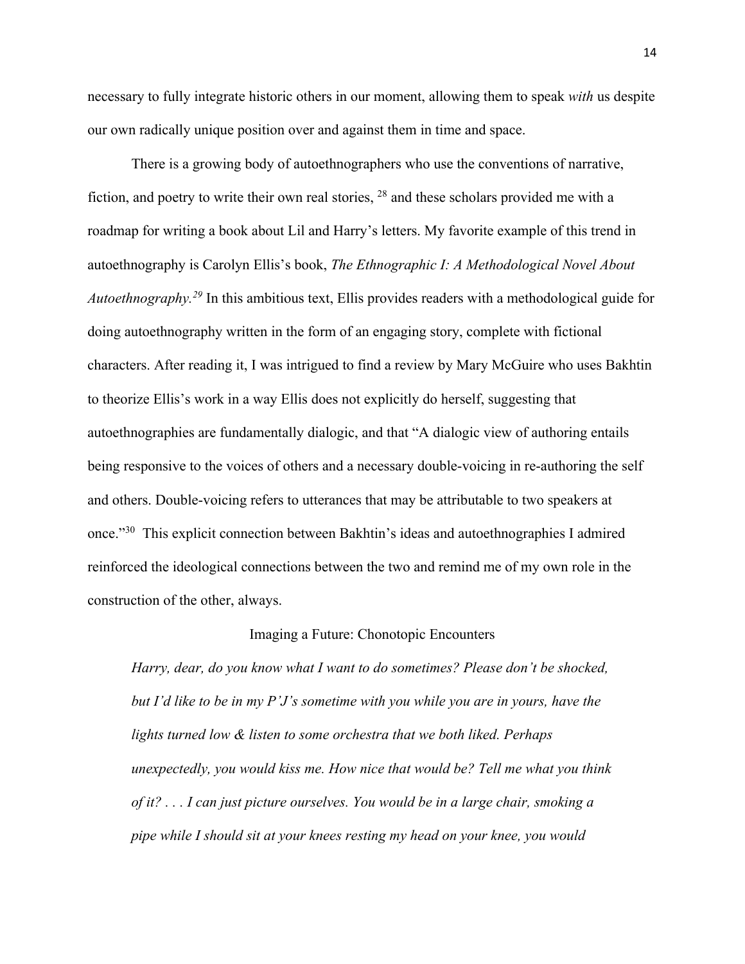necessary to fully integrate historic others in our moment, allowing them to speak *with* us despite our own radically unique position over and against them in time and space.

There is a growing body of autoethnographers who use the conventions of narrative, fiction, and poetry to write their own real stories, 28 and these scholars provided me with a roadmap for writing a book about Lil and Harry's letters. My favorite example of this trend in autoethnography is Carolyn Ellis's book, *The Ethnographic I: A Methodological Novel About Autoethnography. <sup>29</sup>* In this ambitious text, Ellis provides readers with a methodological guide for doing autoethnography written in the form of an engaging story, complete with fictional characters. After reading it, I was intrigued to find a review by Mary McGuire who uses Bakhtin to theorize Ellis's work in a way Ellis does not explicitly do herself, suggesting that autoethnographies are fundamentally dialogic, and that "A dialogic view of authoring entails being responsive to the voices of others and a necessary double-voicing in re-authoring the self and others. Double-voicing refers to utterances that may be attributable to two speakers at once."30 This explicit connection between Bakhtin's ideas and autoethnographies I admired reinforced the ideological connections between the two and remind me of my own role in the construction of the other, always.

### Imaging a Future: Chonotopic Encounters

*Harry, dear, do you know what I want to do sometimes? Please don't be shocked, but I'd like to be in my P'J's sometime with you while you are in yours, have the lights turned low & listen to some orchestra that we both liked. Perhaps unexpectedly, you would kiss me. How nice that would be? Tell me what you think of it? . . . I can just picture ourselves. You would be in a large chair, smoking a pipe while I should sit at your knees resting my head on your knee, you would*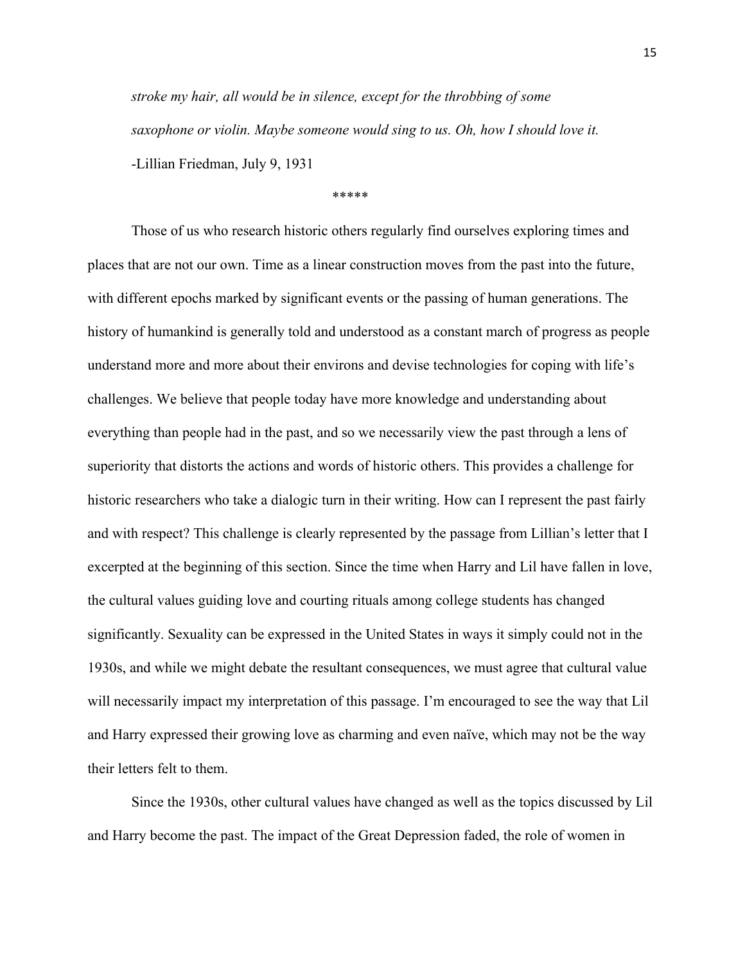*stroke my hair, all would be in silence, except for the throbbing of some saxophone or violin. Maybe someone would sing to us. Oh, how I should love it.*  -Lillian Friedman, July 9, 1931

### \*\*\*\*\*

Those of us who research historic others regularly find ourselves exploring times and places that are not our own. Time as a linear construction moves from the past into the future, with different epochs marked by significant events or the passing of human generations. The history of humankind is generally told and understood as a constant march of progress as people understand more and more about their environs and devise technologies for coping with life's challenges. We believe that people today have more knowledge and understanding about everything than people had in the past, and so we necessarily view the past through a lens of superiority that distorts the actions and words of historic others. This provides a challenge for historic researchers who take a dialogic turn in their writing. How can I represent the past fairly and with respect? This challenge is clearly represented by the passage from Lillian's letter that I excerpted at the beginning of this section. Since the time when Harry and Lil have fallen in love, the cultural values guiding love and courting rituals among college students has changed significantly. Sexuality can be expressed in the United States in ways it simply could not in the 1930s, and while we might debate the resultant consequences, we must agree that cultural value will necessarily impact my interpretation of this passage. I'm encouraged to see the way that Lil and Harry expressed their growing love as charming and even naïve, which may not be the way their letters felt to them.

Since the 1930s, other cultural values have changed as well as the topics discussed by Lil and Harry become the past. The impact of the Great Depression faded, the role of women in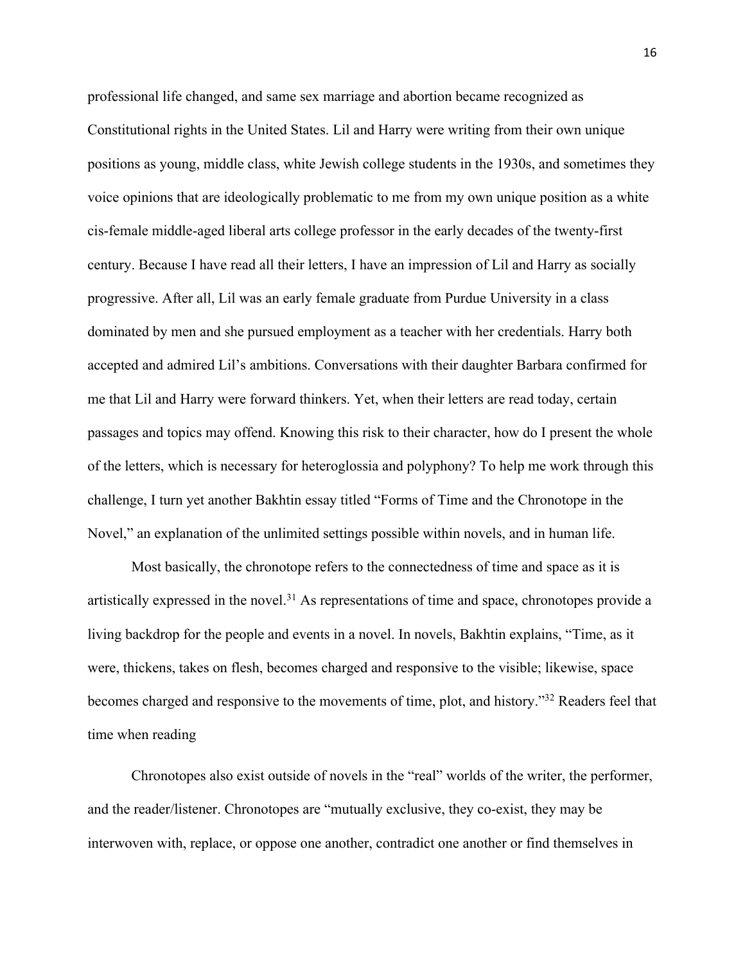professional life changed, and same sex marriage and abortion became recognized as Constitutional rights in the United States. Lil and Harry were writing from their own unique positions as young, middle class, white Jewish college students in the 1930s, and sometimes they voice opinions that are ideologically problematic to me from my own unique position as a white cis-female middle-aged liberal arts college professor in the early decades of the twenty-first century. Because I have read all their letters, I have an impression of Lil and Harry as socially progressive. After all, Lil was an early female graduate from Purdue University in a class dominated by men and she pursued employment as a teacher with her credentials. Harry both accepted and admired Lil's ambitions. Conversations with their daughter Barbara confirmed for me that Lil and Harry were forward thinkers. Yet, when their letters are read today, certain passages and topics may offend. Knowing this risk to their character, how do I present the whole of the letters, which is necessary for heteroglossia and polyphony? To help me work through this challenge, I turn yet another Bakhtin essay titled "Forms of Time and the Chronotope in the Novel," an explanation of the unlimited settings possible within novels, and in human life.

Most basically, the chronotope refers to the connectedness of time and space as it is artistically expressed in the novel.<sup>31</sup> As representations of time and space, chronotopes provide a living backdrop for the people and events in a novel. In novels, Bakhtin explains, "Time, as it were, thickens, takes on flesh, becomes charged and responsive to the visible; likewise, space becomes charged and responsive to the movements of time, plot, and history."32 Readers feel that time when reading

Chronotopes also exist outside of novels in the "real" worlds of the writer, the performer, and the reader/listener. Chronotopes are "mutually exclusive, they co-exist, they may be interwoven with, replace, or oppose one another, contradict one another or find themselves in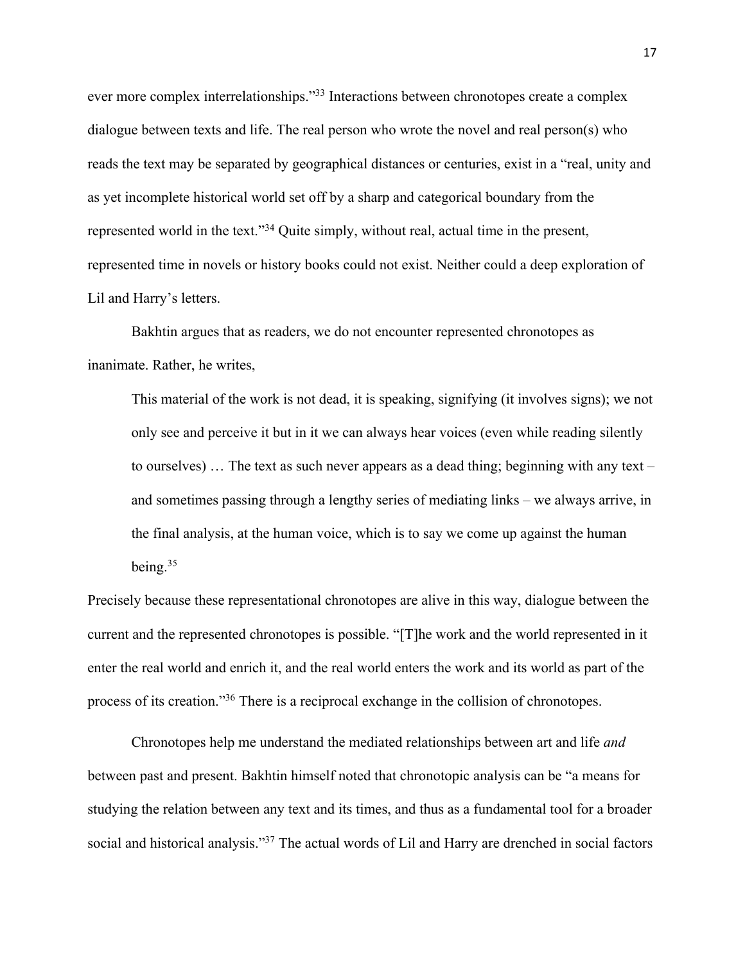ever more complex interrelationships."<sup>33</sup> Interactions between chronotopes create a complex dialogue between texts and life. The real person who wrote the novel and real person(s) who reads the text may be separated by geographical distances or centuries, exist in a "real, unity and as yet incomplete historical world set off by a sharp and categorical boundary from the represented world in the text."34 Quite simply, without real, actual time in the present, represented time in novels or history books could not exist. Neither could a deep exploration of Lil and Harry's letters.

Bakhtin argues that as readers, we do not encounter represented chronotopes as inanimate. Rather, he writes,

This material of the work is not dead, it is speaking, signifying (it involves signs); we not only see and perceive it but in it we can always hear voices (even while reading silently to ourselves)  $\ldots$  The text as such never appears as a dead thing; beginning with any text – and sometimes passing through a lengthy series of mediating links – we always arrive, in the final analysis, at the human voice, which is to say we come up against the human being. 35

Precisely because these representational chronotopes are alive in this way, dialogue between the current and the represented chronotopes is possible. "[T]he work and the world represented in it enter the real world and enrich it, and the real world enters the work and its world as part of the process of its creation."36 There is a reciprocal exchange in the collision of chronotopes.

Chronotopes help me understand the mediated relationships between art and life *and*  between past and present. Bakhtin himself noted that chronotopic analysis can be "a means for studying the relation between any text and its times, and thus as a fundamental tool for a broader social and historical analysis."<sup>37</sup> The actual words of Lil and Harry are drenched in social factors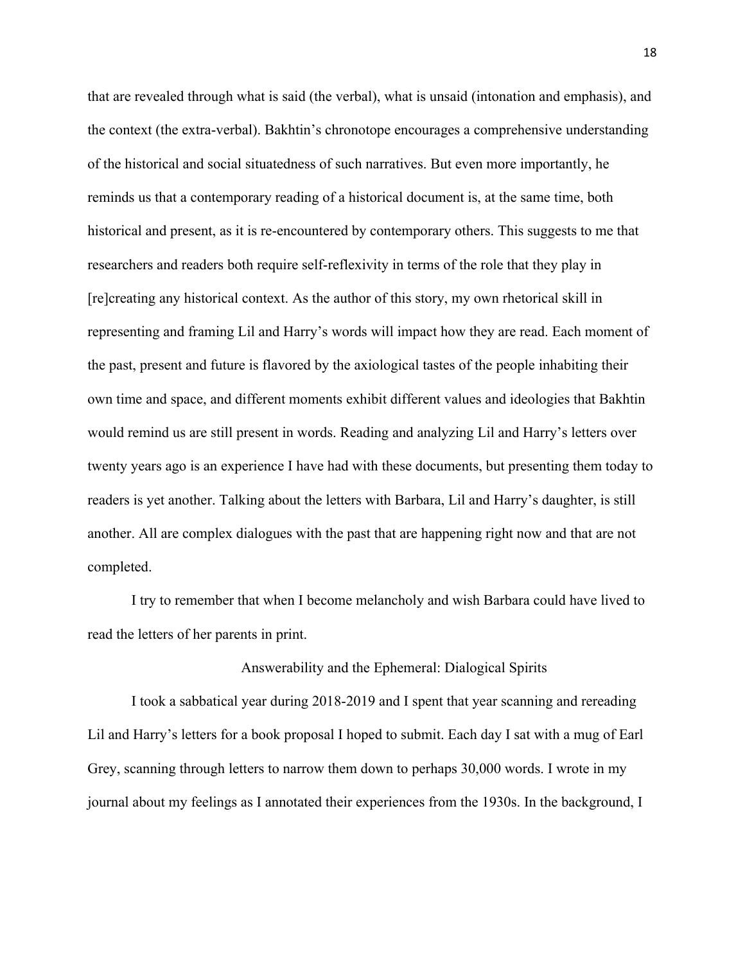that are revealed through what is said (the verbal), what is unsaid (intonation and emphasis), and the context (the extra-verbal). Bakhtin's chronotope encourages a comprehensive understanding of the historical and social situatedness of such narratives. But even more importantly, he reminds us that a contemporary reading of a historical document is, at the same time, both historical and present, as it is re-encountered by contemporary others. This suggests to me that researchers and readers both require self-reflexivity in terms of the role that they play in [re]creating any historical context. As the author of this story, my own rhetorical skill in representing and framing Lil and Harry's words will impact how they are read. Each moment of the past, present and future is flavored by the axiological tastes of the people inhabiting their own time and space, and different moments exhibit different values and ideologies that Bakhtin would remind us are still present in words. Reading and analyzing Lil and Harry's letters over twenty years ago is an experience I have had with these documents, but presenting them today to readers is yet another. Talking about the letters with Barbara, Lil and Harry's daughter, is still another. All are complex dialogues with the past that are happening right now and that are not completed.

I try to remember that when I become melancholy and wish Barbara could have lived to read the letters of her parents in print.

## Answerability and the Ephemeral: Dialogical Spirits

I took a sabbatical year during 2018-2019 and I spent that year scanning and rereading Lil and Harry's letters for a book proposal I hoped to submit. Each day I sat with a mug of Earl Grey, scanning through letters to narrow them down to perhaps 30,000 words. I wrote in my journal about my feelings as I annotated their experiences from the 1930s. In the background, I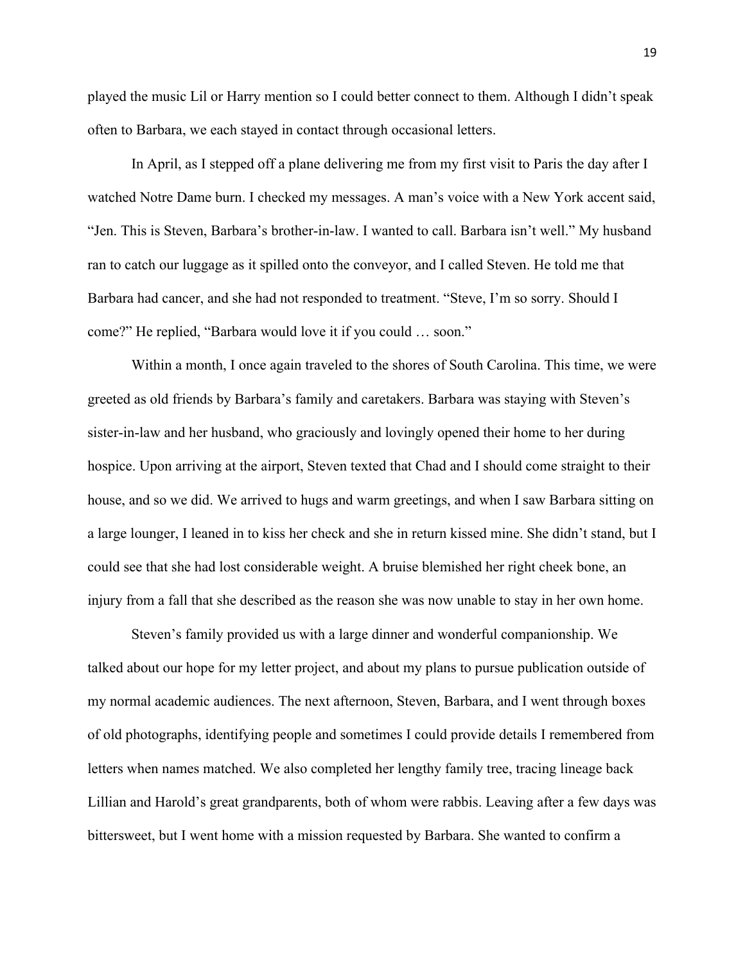played the music Lil or Harry mention so I could better connect to them. Although I didn't speak often to Barbara, we each stayed in contact through occasional letters.

In April, as I stepped off a plane delivering me from my first visit to Paris the day after I watched Notre Dame burn. I checked my messages. A man's voice with a New York accent said, "Jen. This is Steven, Barbara's brother-in-law. I wanted to call. Barbara isn't well." My husband ran to catch our luggage as it spilled onto the conveyor, and I called Steven. He told me that Barbara had cancer, and she had not responded to treatment. "Steve, I'm so sorry. Should I come?" He replied, "Barbara would love it if you could … soon."

Within a month, I once again traveled to the shores of South Carolina. This time, we were greeted as old friends by Barbara's family and caretakers. Barbara was staying with Steven's sister-in-law and her husband, who graciously and lovingly opened their home to her during hospice. Upon arriving at the airport, Steven texted that Chad and I should come straight to their house, and so we did. We arrived to hugs and warm greetings, and when I saw Barbara sitting on a large lounger, I leaned in to kiss her check and she in return kissed mine. She didn't stand, but I could see that she had lost considerable weight. A bruise blemished her right cheek bone, an injury from a fall that she described as the reason she was now unable to stay in her own home.

Steven's family provided us with a large dinner and wonderful companionship. We talked about our hope for my letter project, and about my plans to pursue publication outside of my normal academic audiences. The next afternoon, Steven, Barbara, and I went through boxes of old photographs, identifying people and sometimes I could provide details I remembered from letters when names matched. We also completed her lengthy family tree, tracing lineage back Lillian and Harold's great grandparents, both of whom were rabbis. Leaving after a few days was bittersweet, but I went home with a mission requested by Barbara. She wanted to confirm a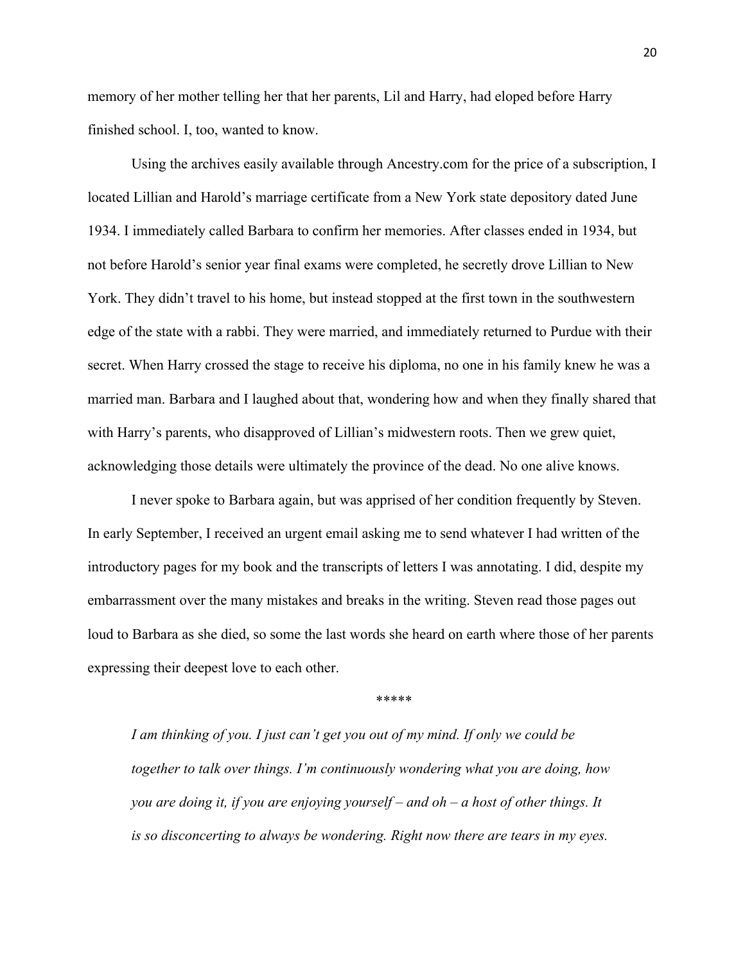memory of her mother telling her that her parents, Lil and Harry, had eloped before Harry finished school. I, too, wanted to know.

Using the archives easily available through Ancestry.com for the price of a subscription, I located Lillian and Harold's marriage certificate from a New York state depository dated June 1934. I immediately called Barbara to confirm her memories. After classes ended in 1934, but not before Harold's senior year final exams were completed, he secretly drove Lillian to New York. They didn't travel to his home, but instead stopped at the first town in the southwestern edge of the state with a rabbi. They were married, and immediately returned to Purdue with their secret. When Harry crossed the stage to receive his diploma, no one in his family knew he was a married man. Barbara and I laughed about that, wondering how and when they finally shared that with Harry's parents, who disapproved of Lillian's midwestern roots. Then we grew quiet, acknowledging those details were ultimately the province of the dead. No one alive knows.

I never spoke to Barbara again, but was apprised of her condition frequently by Steven. In early September, I received an urgent email asking me to send whatever I had written of the introductory pages for my book and the transcripts of letters I was annotating. I did, despite my embarrassment over the many mistakes and breaks in the writing. Steven read those pages out loud to Barbara as she died, so some the last words she heard on earth where those of her parents expressing their deepest love to each other.

\*\*\*\*\*

*I am thinking of you. I just can't get you out of my mind. If only we could be together to talk over things. I'm continuously wondering what you are doing, how you are doing it, if you are enjoying yourself – and oh – a host of other things. It is so disconcerting to always be wondering. Right now there are tears in my eyes.*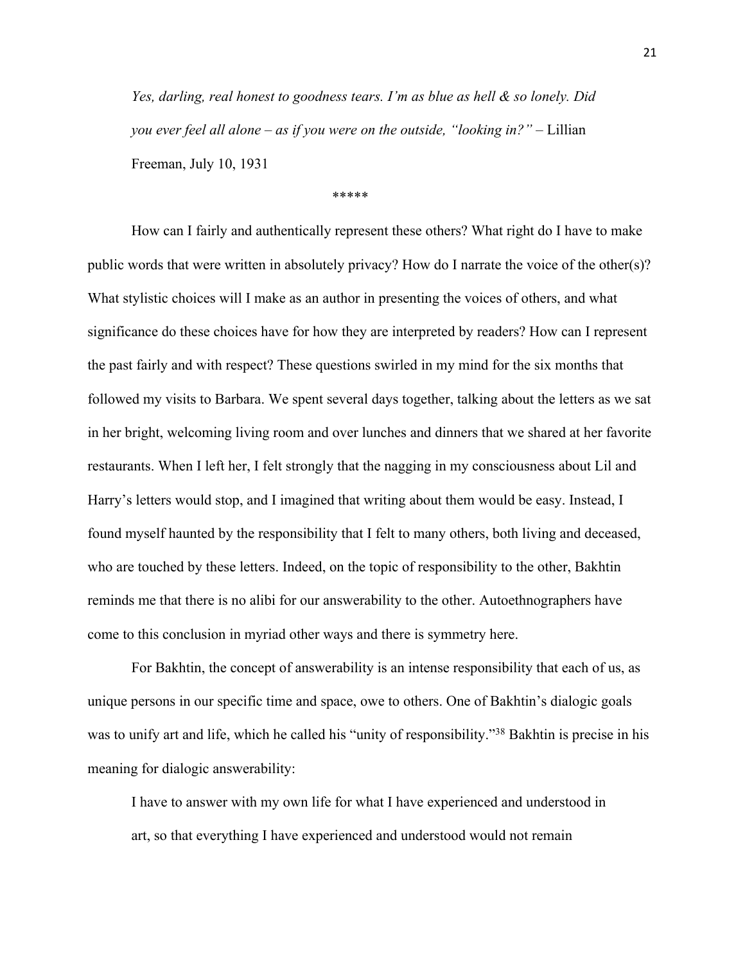*Yes, darling, real honest to goodness tears. I'm as blue as hell & so lonely. Did you ever feel all alone – as if you were on the outside, "looking in?"* – Lillian Freeman, July 10, 1931

\*\*\*\*\*

How can I fairly and authentically represent these others? What right do I have to make public words that were written in absolutely privacy? How do I narrate the voice of the other(s)? What stylistic choices will I make as an author in presenting the voices of others, and what significance do these choices have for how they are interpreted by readers? How can I represent the past fairly and with respect? These questions swirled in my mind for the six months that followed my visits to Barbara. We spent several days together, talking about the letters as we sat in her bright, welcoming living room and over lunches and dinners that we shared at her favorite restaurants. When I left her, I felt strongly that the nagging in my consciousness about Lil and Harry's letters would stop, and I imagined that writing about them would be easy. Instead, I found myself haunted by the responsibility that I felt to many others, both living and deceased, who are touched by these letters. Indeed, on the topic of responsibility to the other, Bakhtin reminds me that there is no alibi for our answerability to the other. Autoethnographers have come to this conclusion in myriad other ways and there is symmetry here.

For Bakhtin, the concept of answerability is an intense responsibility that each of us, as unique persons in our specific time and space, owe to others. One of Bakhtin's dialogic goals was to unify art and life, which he called his "unity of responsibility."<sup>38</sup> Bakhtin is precise in his meaning for dialogic answerability:

I have to answer with my own life for what I have experienced and understood in art, so that everything I have experienced and understood would not remain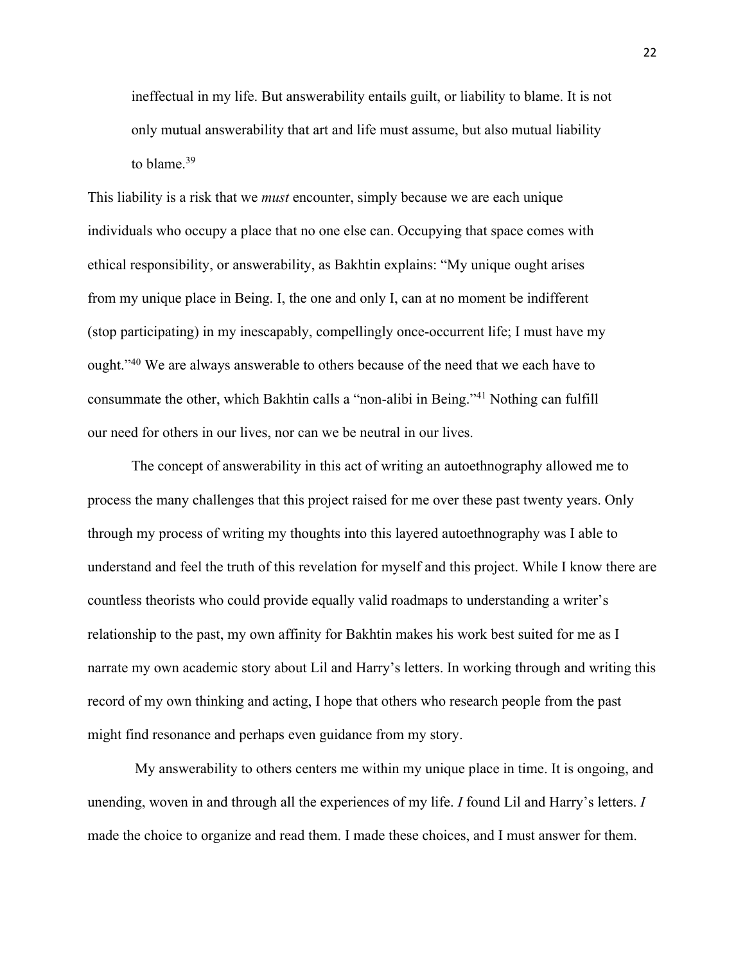ineffectual in my life. But answerability entails guilt, or liability to blame. It is not only mutual answerability that art and life must assume, but also mutual liability to blame.<sup>39</sup>

This liability is a risk that we *must* encounter, simply because we are each unique individuals who occupy a place that no one else can. Occupying that space comes with ethical responsibility, or answerability, as Bakhtin explains: "My unique ought arises from my unique place in Being. I, the one and only I, can at no moment be indifferent (stop participating) in my inescapably, compellingly once-occurrent life; I must have my ought."40 We are always answerable to others because of the need that we each have to consummate the other, which Bakhtin calls a "non-alibi in Being."41 Nothing can fulfill our need for others in our lives, nor can we be neutral in our lives.

The concept of answerability in this act of writing an autoethnography allowed me to process the many challenges that this project raised for me over these past twenty years. Only through my process of writing my thoughts into this layered autoethnography was I able to understand and feel the truth of this revelation for myself and this project. While I know there are countless theorists who could provide equally valid roadmaps to understanding a writer's relationship to the past, my own affinity for Bakhtin makes his work best suited for me as I narrate my own academic story about Lil and Harry's letters. In working through and writing this record of my own thinking and acting, I hope that others who research people from the past might find resonance and perhaps even guidance from my story.

My answerability to others centers me within my unique place in time. It is ongoing, and unending, woven in and through all the experiences of my life. *I* found Lil and Harry's letters. *I* made the choice to organize and read them. I made these choices, and I must answer for them.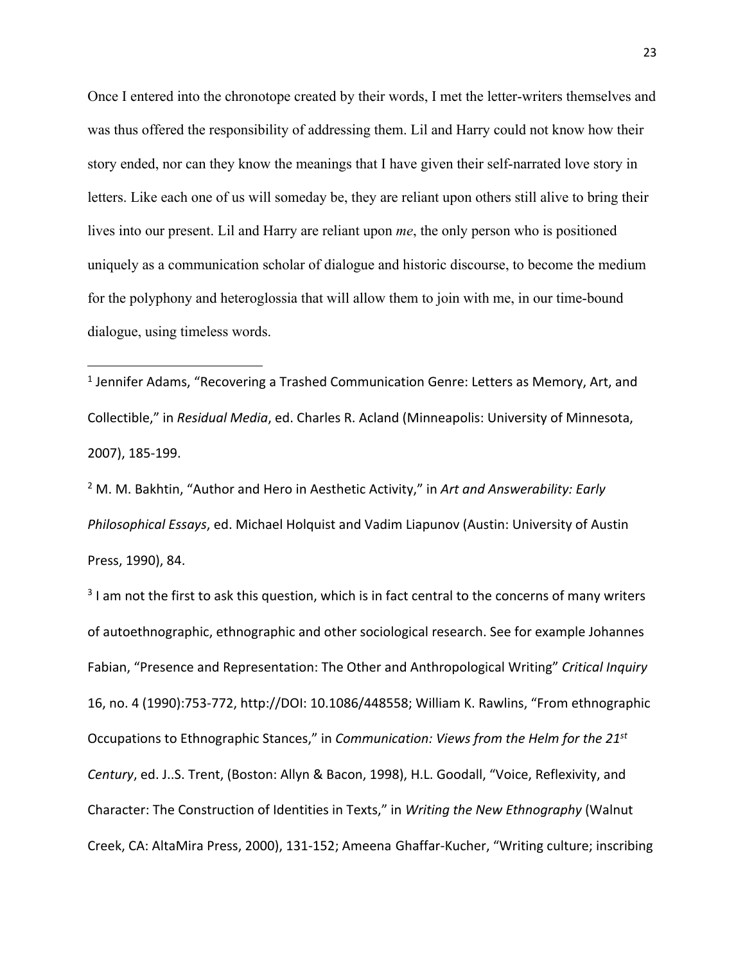Once I entered into the chronotope created by their words, I met the letter-writers themselves and was thus offered the responsibility of addressing them. Lil and Harry could not know how their story ended, nor can they know the meanings that I have given their self-narrated love story in letters. Like each one of us will someday be, they are reliant upon others still alive to bring their lives into our present. Lil and Harry are reliant upon *me*, the only person who is positioned uniquely as a communication scholar of dialogue and historic discourse, to become the medium for the polyphony and heteroglossia that will allow them to join with me, in our time-bound dialogue, using timeless words.

<sup>1</sup> Jennifer Adams, "Recovering a Trashed Communication Genre: Letters as Memory, Art, and Collectible," in *Residual Media*, ed. Charles R. Acland (Minneapolis: University of Minnesota, 2007), 185-199.

<sup>2</sup> M. M. Bakhtin, "Author and Hero in Aesthetic Activity," in *Art and Answerability: Early Philosophical Essays*, ed. Michael Holquist and Vadim Liapunov (Austin: University of Austin Press, 1990), 84.

 $3$  I am not the first to ask this question, which is in fact central to the concerns of many writers of autoethnographic, ethnographic and other sociological research. See for example Johannes Fabian, "Presence and Representation: The Other and Anthropological Writing" *Critical Inquiry* 16, no. 4 (1990):753-772, http://DOI: 10.1086/448558; William K. Rawlins, "From ethnographic Occupations to Ethnographic Stances," in *Communication: Views from the Helm for the 21st Century*, ed. J..S. Trent, (Boston: Allyn & Bacon, 1998), H.L. Goodall, "Voice, Reflexivity, and Character: The Construction of Identities in Texts," in *Writing the New Ethnography* (Walnut Creek, CA: AltaMira Press, 2000), 131-152; Ameena Ghaffar-Kucher, "Writing culture; inscribing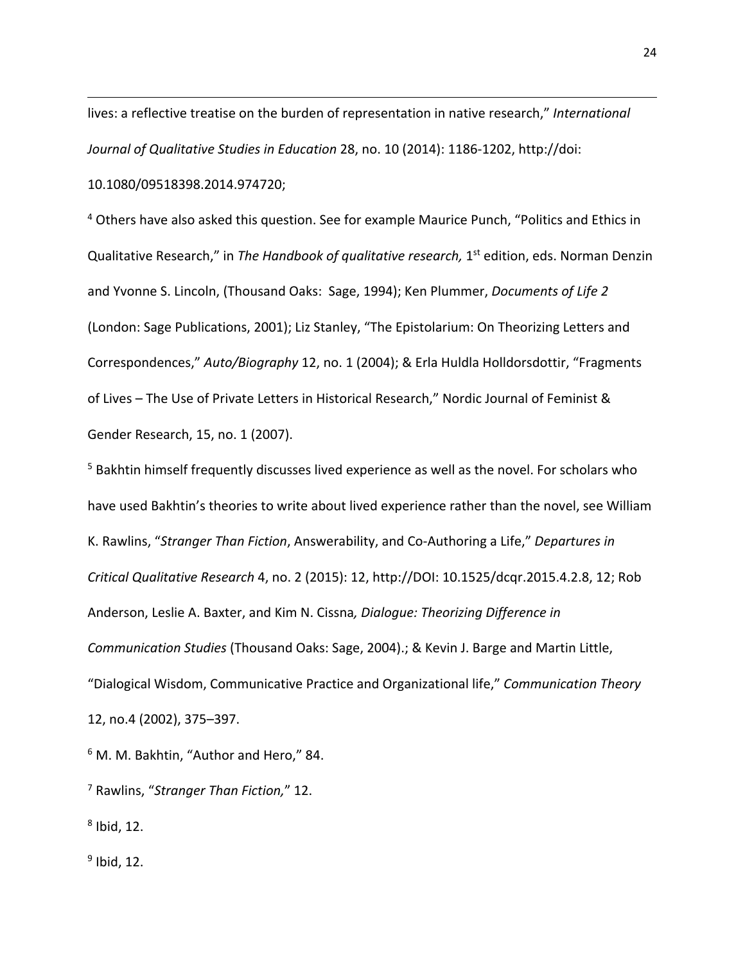lives: a reflective treatise on the burden of representation in native research," *International Journal of Qualitative Studies in Education* 28, no. 10 (2014): 1186-1202, http://doi: 10.1080/09518398.2014.974720;

<sup>4</sup> Others have also asked this question. See for example Maurice Punch, "Politics and Ethics in Qualitative Research," in *The Handbook of qualitative research*, 1<sup>st</sup> edition, eds. Norman Denzin and Yvonne S. Lincoln, (Thousand Oaks: Sage, 1994); Ken Plummer, *Documents of Life 2* (London: Sage Publications, 2001); Liz Stanley, "The Epistolarium: On Theorizing Letters and Correspondences," *Auto/Biography* 12, no. 1 (2004); & Erla Huldla Holldorsdottir, "Fragments of Lives – The Use of Private Letters in Historical Research," Nordic Journal of Feminist & Gender Research, 15, no. 1 (2007).

<sup>5</sup> Bakhtin himself frequently discusses lived experience as well as the novel. For scholars who have used Bakhtin's theories to write about lived experience rather than the novel, see William K. Rawlins, "*Stranger Than Fiction*, Answerability, and Co-Authoring a Life," *Departures in Critical Qualitative Research* 4, no. 2 (2015): 12, http://DOI: 10.1525/dcqr.2015.4.2.8, 12; Rob Anderson, Leslie A. Baxter, and Kim N. Cissna*, Dialogue: Theorizing Difference in Communication Studies* (Thousand Oaks: Sage, 2004).; & Kevin J. Barge and Martin Little, "Dialogical Wisdom, Communicative Practice and Organizational life," *Communication Theory* 12, no.4 (2002), 375–397.

<sup>6</sup> M. M. Bakhtin, "Author and Hero," 84.

<sup>7</sup> Rawlins, "*Stranger Than Fiction,*" 12.

 $8$  Ibid, 12.

 $<sup>9</sup>$  Ibid, 12.</sup>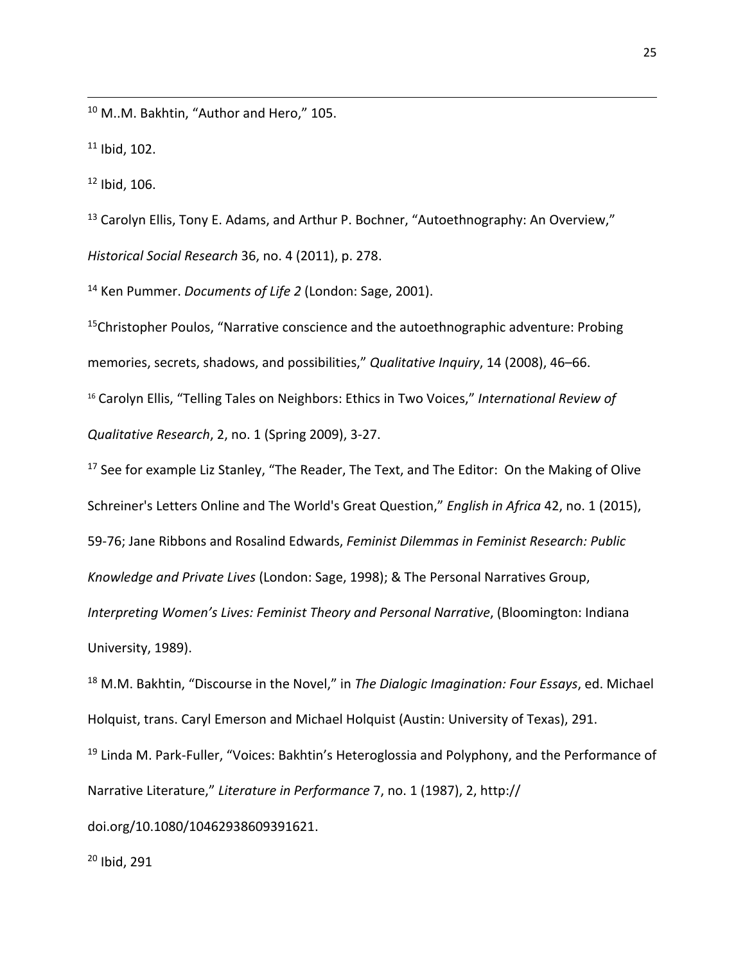<sup>10</sup> M..M. Bakhtin, "Author and Hero," 105.

 $11$  Ibid, 102.

 $12$  Ibid, 106.

<sup>13</sup> Carolyn Ellis, Tony E. Adams, and Arthur P. Bochner, "Autoethnography: An Overview," *Historical Social Research* 36, no. 4 (2011), p. 278.

<sup>14</sup> Ken Pummer. *Documents of Life 2* (London: Sage, 2001).

<sup>15</sup>Christopher Poulos, "Narrative conscience and the autoethnographic adventure: Probing memories, secrets, shadows, and possibilities," *Qualitative Inquiry*, 14 (2008), 46–66. <sup>16</sup> Carolyn Ellis, "Telling Tales on Neighbors: Ethics in Two Voices," *International Review of Qualitative Research*, 2, no. 1 (Spring 2009), 3-27.

 $17$  See for example Liz Stanley, "The Reader, The Text, and The Editor: On the Making of Olive Schreiner's Letters Online and The World's Great Question," *English in Africa* 42, no. 1 (2015), 59-76; Jane Ribbons and Rosalind Edwards, *Feminist Dilemmas in Feminist Research: Public Knowledge and Private Lives* (London: Sage, 1998); & The Personal Narratives Group, *Interpreting Women's Lives: Feminist Theory and Personal Narrative*, (Bloomington: Indiana

University, 1989).

<sup>18</sup> M.M. Bakhtin, "Discourse in the Novel," in *The Dialogic Imagination: Four Essays*, ed. Michael Holquist, trans. Caryl Emerson and Michael Holquist (Austin: University of Texas), 291. <sup>19</sup> Linda M. Park-Fuller, "Voices: Bakhtin's Heteroglossia and Polyphony, and the Performance of Narrative Literature," *Literature in Performance* 7, no. 1 (1987), 2, http://

doi.org/10.1080/10462938609391621.

<sup>20</sup> Ibid, 291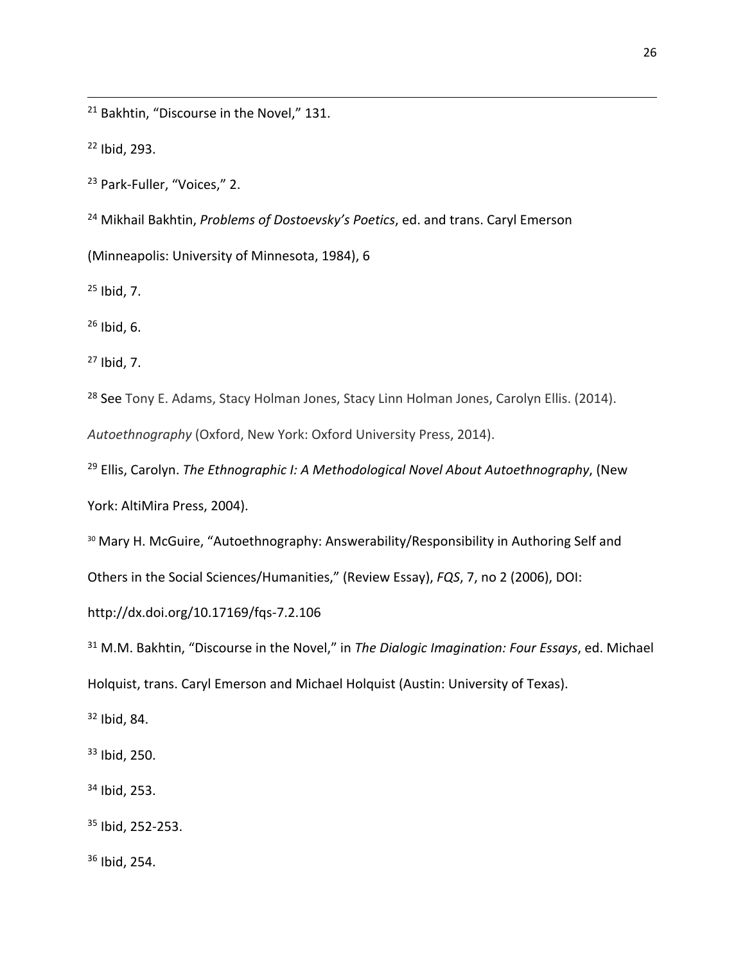<sup>21</sup> Bakhtin, "Discourse in the Novel," 131.

Ibid, 293.

Park-Fuller, "Voices," 2.

Mikhail Bakhtin, *Problems of Dostoevsky's Poetics*, ed. and trans. Caryl Emerson

(Minneapolis: University of Minnesota, 1984), 6

Ibid, 7.

Ibid, 6.

Ibid, 7.

<sup>28</sup> See Tony E. Adams, Stacy Holman Jones, Stacy Linn Holman Jones, Carolyn Ellis. (2014).

*Autoethnography* (Oxford, New York: Oxford University Press, 2014).

 Ellis, Carolyn. *The Ethnographic I: A Methodological Novel About Autoethnography*, (New York: AltiMira Press, 2004).

30 Mary H. McGuire, "Autoethnography: Answerability/Responsibility in Authoring Self and

Others in the Social Sciences/Humanities," (Review Essay), *FQS*, 7, no 2 (2006), DOI:

http://dx.doi.org/10.17169/fqs-7.2.106

 M.M. Bakhtin, "Discourse in the Novel," in *The Dialogic Imagination: Four Essays*, ed. Michael Holquist, trans. Caryl Emerson and Michael Holquist (Austin: University of Texas).

Ibid, 84.

Ibid, 250.

Ibid, 253.

Ibid, 252-253.

Ibid, 254.